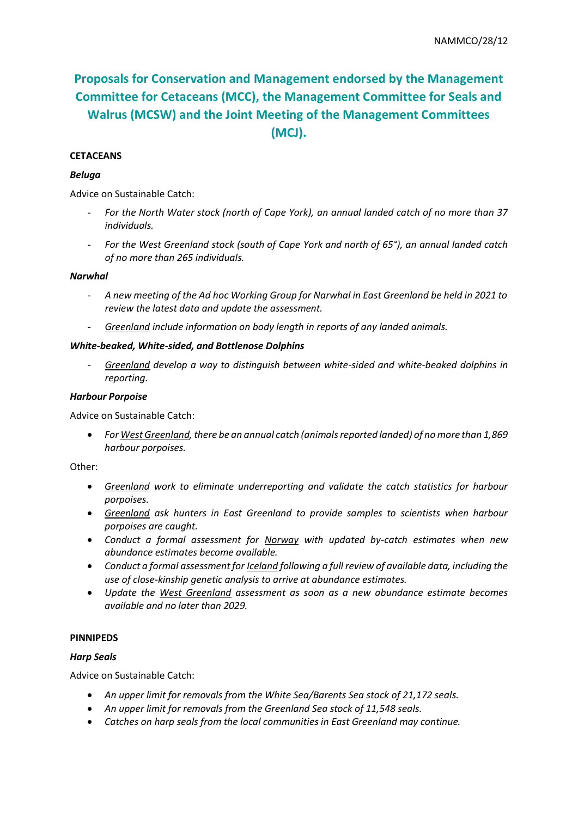# **Proposals for Conservation and Management endorsed by the Management Committee for Cetaceans (MCC), the Management Committee for Seals and Walrus (MCSW) and the Joint Meeting of the Management Committees (MCJ).**

# **CETACEANS**

#### *Beluga*

Advice on Sustainable Catch:

- *For the North Water stock (north of Cape York), an annual landed catch of no more than 37 individuals.*
- *For the West Greenland stock (south of Cape York and north of 65°), an annual landed catch of no more than 265 individuals.*

#### *Narwhal*

- *A new meeting of the Ad hoc Working Group for Narwhal in East Greenland be held in 2021 to review the latest data and update the assessment.*
- *Greenland include information on body length in reports of any landed animals.*

#### *White-beaked, White-sided, and Bottlenose Dolphins*

- *Greenland develop a way to distinguish between white-sided and white-beaked dolphins in reporting.* 

#### *Harbour Porpoise*

Advice on Sustainable Catch:

• *For West Greenland, there be an annual catch (animals reported landed) of no more than 1,869 harbour porpoises.* 

Other:

- *Greenland work to eliminate underreporting and validate the catch statistics for harbour porpoises.*
- *Greenland ask hunters in East Greenland to provide samples to scientists when harbour porpoises are caught.*
- *Conduct a formal assessment for Norway with updated by-catch estimates when new abundance estimates become available.*
- *Conduct a formal assessment for Iceland following a full review of available data, including the use of close-kinship genetic analysis to arrive at abundance estimates.*
- *Update the West Greenland assessment as soon as a new abundance estimate becomes available and no later than 2029.*

#### **PINNIPEDS**

#### *Harp Seals*

Advice on Sustainable Catch:

- *An upper limit for removals from the White Sea/Barents Sea stock of 21,172 seals.*
- *An upper limit for removals from the Greenland Sea stock of 11,548 seals.*
- *Catches on harp seals from the local communities in East Greenland may continue.*